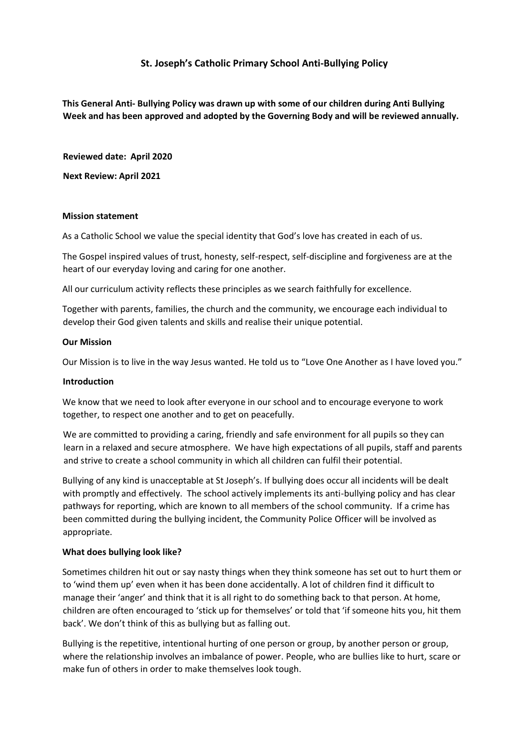# **St. Joseph's Catholic Primary School Anti-Bullying Policy**

**This General Anti- Bullying Policy was drawn up with some of our children during Anti Bullying Week and has been approved and adopted by the Governing Body and will be reviewed annually.** 

**Reviewed date: April 2020**

**Next Review: April 2021**

### **Mission statement**

As a Catholic School we value the special identity that God's love has created in each of us.

The Gospel inspired values of trust, honesty, self-respect, self-discipline and forgiveness are at the heart of our everyday loving and caring for one another.

All our curriculum activity reflects these principles as we search faithfully for excellence.

Together with parents, families, the church and the community, we encourage each individual to develop their God given talents and skills and realise their unique potential.

### **Our Mission**

Our Mission is to live in the way Jesus wanted. He told us to "Love One Another as I have loved you."

#### **Introduction**

We know that we need to look after everyone in our school and to encourage everyone to work together, to respect one another and to get on peacefully.

We are committed to providing a caring, friendly and safe environment for all pupils so they can learn in a relaxed and secure atmosphere. We have high expectations of all pupils, staff and parents and strive to create a school community in which all children can fulfil their potential.

Bullying of any kind is unacceptable at St Joseph's. If bullying does occur all incidents will be dealt with promptly and effectively. The school actively implements its anti-bullying policy and has clear pathways for reporting, which are known to all members of the school community. If a crime has been committed during the bullying incident, the Community Police Officer will be involved as appropriate.

## **What does bullying look like?**

Sometimes children hit out or say nasty things when they think someone has set out to hurt them or to 'wind them up' even when it has been done accidentally. A lot of children find it difficult to manage their 'anger' and think that it is all right to do something back to that person. At home, children are often encouraged to 'stick up for themselves' or told that 'if someone hits you, hit them back'. We don't think of this as bullying but as falling out.

Bullying is the repetitive, intentional hurting of one person or group, by another person or group, where the relationship involves an imbalance of power. People, who are bullies like to hurt, scare or make fun of others in order to make themselves look tough.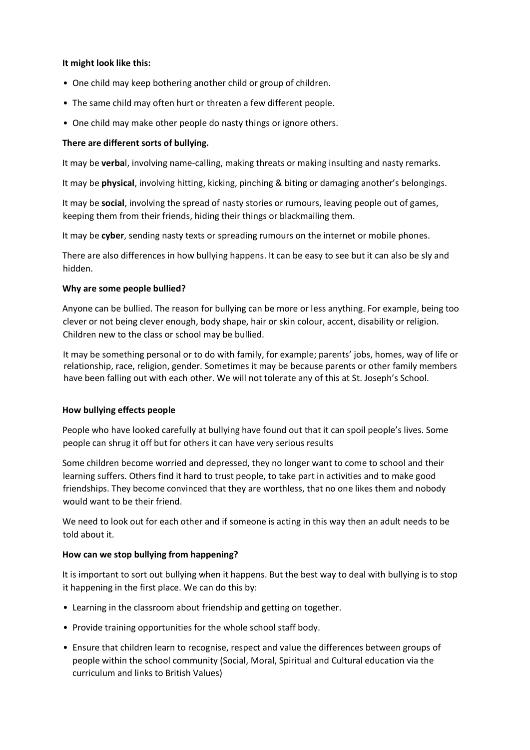## **It might look like this:**

- One child may keep bothering another child or group of children.
- The same child may often hurt or threaten a few different people.
- One child may make other people do nasty things or ignore others.

## **There are different sorts of bullying.**

It may be **verba**l, involving name-calling, making threats or making insulting and nasty remarks.

It may be **physical**, involving hitting, kicking, pinching & biting or damaging another's belongings.

It may be **social**, involving the spread of nasty stories or rumours, leaving people out of games, keeping them from their friends, hiding their things or blackmailing them.

It may be **cyber**, sending nasty texts or spreading rumours on the internet or mobile phones.

There are also differences in how bullying happens. It can be easy to see but it can also be sly and hidden.

## **Why are some people bullied?**

Anyone can be bullied. The reason for bullying can be more or less anything. For example, being too clever or not being clever enough, body shape, hair or skin colour, accent, disability or religion. Children new to the class or school may be bullied.

It may be something personal or to do with family, for example; parents' jobs, homes, way of life or relationship, race, religion, gender. Sometimes it may be because parents or other family members have been falling out with each other. We will not tolerate any of this at St. Joseph's School.

## **How bullying effects people**

People who have looked carefully at bullying have found out that it can spoil people's lives. Some people can shrug it off but for others it can have very serious results

Some children become worried and depressed, they no longer want to come to school and their learning suffers. Others find it hard to trust people, to take part in activities and to make good friendships. They become convinced that they are worthless, that no one likes them and nobody would want to be their friend.

We need to look out for each other and if someone is acting in this way then an adult needs to be told about it.

## **How can we stop bullying from happening?**

It is important to sort out bullying when it happens. But the best way to deal with bullying is to stop it happening in the first place. We can do this by:

- Learning in the classroom about friendship and getting on together.
- Provide training opportunities for the whole school staff body.
- Ensure that children learn to recognise, respect and value the differences between groups of people within the school community (Social, Moral, Spiritual and Cultural education via the curriculum and links to British Values)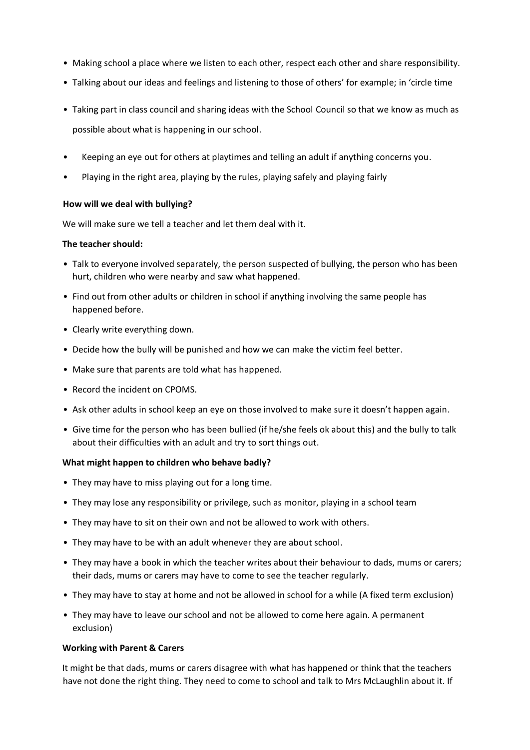- Making school a place where we listen to each other, respect each other and share responsibility.
- Talking about our ideas and feelings and listening to those of others' for example; in 'circle time
- Taking part in class council and sharing ideas with the School Council so that we know as much as possible about what is happening in our school.
- Keeping an eye out for others at playtimes and telling an adult if anything concerns you.
- Playing in the right area, playing by the rules, playing safely and playing fairly

## **How will we deal with bullying?**

We will make sure we tell a teacher and let them deal with it.

### **The teacher should:**

- Talk to everyone involved separately, the person suspected of bullying, the person who has been hurt, children who were nearby and saw what happened.
- Find out from other adults or children in school if anything involving the same people has happened before.
- Clearly write everything down.
- Decide how the bully will be punished and how we can make the victim feel better.
- Make sure that parents are told what has happened.
- Record the incident on CPOMS.
- Ask other adults in school keep an eye on those involved to make sure it doesn't happen again.
- Give time for the person who has been bullied (if he/she feels ok about this) and the bully to talk about their difficulties with an adult and try to sort things out.

## **What might happen to children who behave badly?**

- They may have to miss playing out for a long time.
- They may lose any responsibility or privilege, such as monitor, playing in a school team
- They may have to sit on their own and not be allowed to work with others.
- They may have to be with an adult whenever they are about school.
- They may have a book in which the teacher writes about their behaviour to dads, mums or carers; their dads, mums or carers may have to come to see the teacher regularly.
- They may have to stay at home and not be allowed in school for a while (A fixed term exclusion)
- They may have to leave our school and not be allowed to come here again. A permanent exclusion)

## **Working with Parent & Carers**

It might be that dads, mums or carers disagree with what has happened or think that the teachers have not done the right thing. They need to come to school and talk to Mrs McLaughlin about it. If